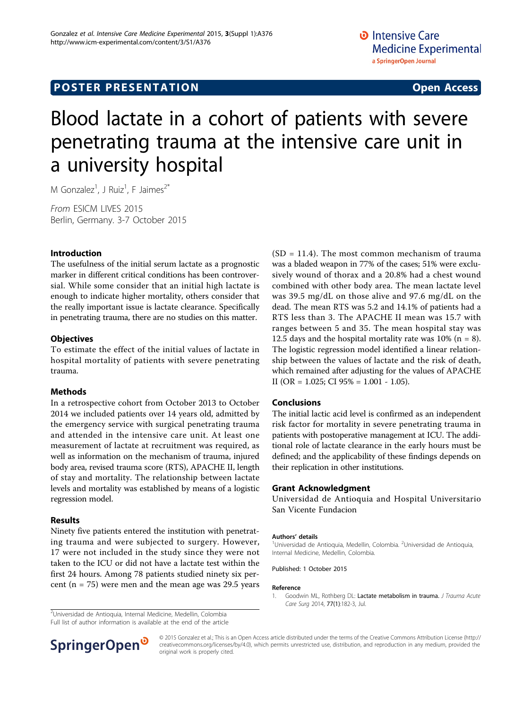## **POSTER PRESENTATION CONSUMING ACCESS**

# Blood lactate in a cohort of patients with severe penetrating trauma at the intensive care unit in a university hospital

M Gonzalez<sup>1</sup>, J Ruiz<sup>1</sup>, F Jaimes<sup>2\*</sup>

From ESICM LIVES 2015 Berlin, Germany. 3-7 October 2015

#### Introduction

The usefulness of the initial serum lactate as a prognostic marker in different critical conditions has been controversial. While some consider that an initial high lactate is enough to indicate higher mortality, others consider that the really important issue is lactate clearance. Specifically in penetrating trauma, there are no studies on this matter.

#### **Objectives**

To estimate the effect of the initial values of lactate in hospital mortality of patients with severe penetrating trauma.

#### Methods

In a retrospective cohort from October 2013 to October 2014 we included patients over 14 years old, admitted by the emergency service with surgical penetrating trauma and attended in the intensive care unit. At least one measurement of lactate at recruitment was required, as well as information on the mechanism of trauma, injured body area, revised trauma score (RTS), APACHE II, length of stay and mortality. The relationship between lactate levels and mortality was established by means of a logistic regression model.

#### Results

Ninety five patients entered the institution with penetrating trauma and were subjected to surgery. However, 17 were not included in the study since they were not taken to the ICU or did not have a lactate test within the first 24 hours. Among 78 patients studied ninety six percent ( $n = 75$ ) were men and the mean age was 29.5 years  $(SD = 11.4)$ . The most common mechanism of trauma was a bladed weapon in 77% of the cases; 51% were exclusively wound of thorax and a 20.8% had a chest wound combined with other body area. The mean lactate level was 39.5 mg/dL on those alive and 97.6 mg/dL on the dead. The mean RTS was 5.2 and 14.1% of patients had a RTS less than 3. The APACHE II mean was 15.7 with ranges between 5 and 35. The mean hospital stay was 12.5 days and the hospital mortality rate was  $10\%$  (n = 8). The logistic regression model identified a linear relationship between the values of lactate and the risk of death, which remained after adjusting for the values of APACHE II (OR = 1.025; CI 95% = 1.001 - 1.05).

#### Conclusions

The initial lactic acid level is confirmed as an independent risk factor for mortality in severe penetrating trauma in patients with postoperative management at ICU. The additional role of lactate clearance in the early hours must be defined; and the applicability of these findings depends on their replication in other institutions.

#### Grant Acknowledgment

Universidad de Antioquia and Hospital Universitario San Vicente Fundacion

#### Authors' details <sup>1</sup>

Universidad de Antioquia, Medellin, Colombia. <sup>2</sup>Universidad de Antioquia Internal Medicine, Medellin, Colombia.

Published: 1 October 2015

#### Reference

1. Goodwin ML, Rothberg DL: Lactate metabolism in trauma. J Trauma Acute Care Surg 2014, 77(1):182-3, Jul.

<sup>2</sup>Universidad de Antioquia, Internal Medicine, Medellin, Colombia Full list of author information is available at the end of the article



© 2015 Gonzalez et al.; This is an Open Access article distributed under the terms of the Creative Commons Attribution License [\(http://](http://creativecommons.org/licenses/by/4.0) [creativecommons.org/licenses/by/4.0](http://creativecommons.org/licenses/by/4.0)), which permits unrestricted use, distribution, and reproduction in any medium, provided the original work is properly cited.